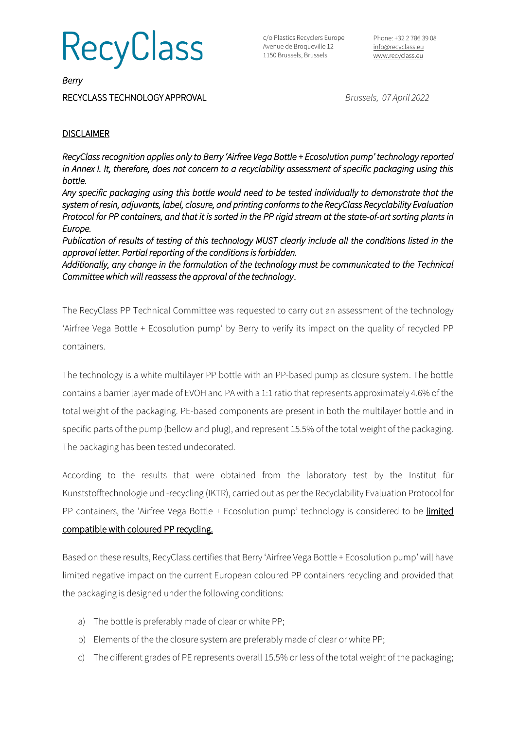**RecyClass** 

c/o Plastics Recyclers Europe Avenue de Broqueville 12 1150 Brussels, Brussels

Phone: +32 2 786 39 08 [info@recyclass.eu](mailto:info@recyclass.eu) [www.recyclass.eu](http://www.recyclass.eu/)

*Berry* 

RECYCLASS TECHNOLOGY APPROVAL *Brussels, 07 April 2022*

## **DISCLAIMER**

*RecyClass recognition applies only to Berry 'Airfree Vega Bottle + Ecosolution pump' technology reported in Annex I. It, therefore, does not concern to a recyclability assessment of specific packaging using this bottle.* 

*Any specific packaging using this bottle would need to be tested individually to demonstrate that the system of resin, adjuvants, label, closure, and printing conforms to the RecyClass Recyclability Evaluation Protocol for PP containers, and that it is sorted in the PP rigid stream at the state-of-art sorting plants in Europe.* 

*Publication of results of testing of this technology MUST clearly include all the conditions listed in the approval letter. Partial reporting of the conditions is forbidden.* 

*Additionally, any change in the formulation of the technology must be communicated to the Technical Committee which will reassess the approval of the technology*.

The RecyClass PP Technical Committee was requested to carry out an assessment of the technology 'Airfree Vega Bottle + Ecosolution pump' by Berry to verify its impact on the quality of recycled PP containers.

The technology is a white multilayer PP bottle with an PP-based pump as closure system. The bottle contains a barrier layer made of EVOH and PAwith a 1:1 ratio that represents approximately 4.6% of the total weight of the packaging. PE-based components are present in both the multilayer bottle and in specific parts of the pump (bellow and plug), and represent 15.5% of the total weight of the packaging. The packaging has been tested undecorated.

According to the results that were obtained from the laboratory test by the Institut für Kunststofftechnologie und -recycling (IKTR), carried out as per the Recyclability Evaluation Protocol for PP containers, the 'Airfree Vega Bottle + Ecosolution pump' technology is considered to be limited

## compatible with coloured PP recycling.

Based on these results, RecyClass certifies that Berry 'Airfree Vega Bottle + Ecosolution pump' will have limited negative impact on the current European coloured PP containers recycling and provided that the packaging is designed under the following conditions:

- a) The bottle is preferably made of clear or white PP;
- b) Elements of the the closure system are preferably made of clear or white PP;
- c) The different grades of PE represents overall 15.5% or less of the total weight of the packaging;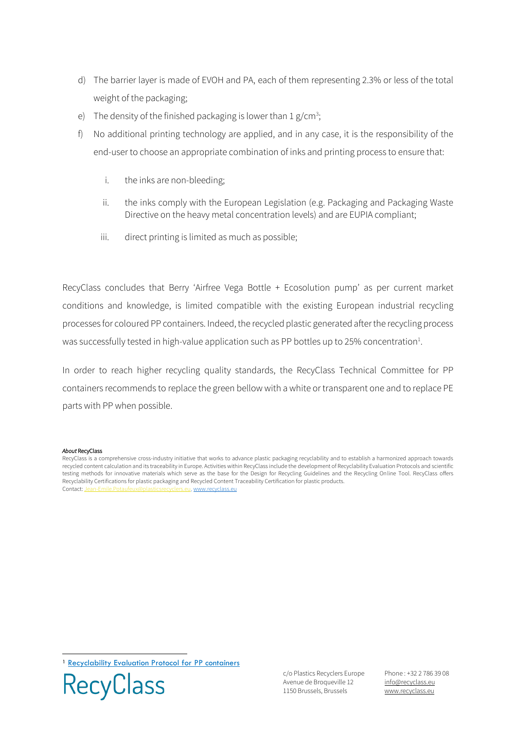- d) The barrier layer is made of EVOH and PA, each of them representing 2.3% or less of the total weight of the packaging;
- e) The density of the finished packaging is lower than  $1 g/cm^3$ ;
- f) No additional printing technology are applied, and in any case, it is the responsibility of the end-user to choose an appropriate combination of inks and printing process to ensure that:
	- i. the inks are non-bleeding;
	- ii. the inks comply with the European Legislation (e.g. Packaging and Packaging Waste Directive on the heavy metal concentration levels) and are EUPIA compliant;
	- iii. direct printing is limited as much as possible;

RecyClass concludes that Berry 'Airfree Vega Bottle + Ecosolution pump' as per current market conditions and knowledge, is limited compatible with the existing European industrial recycling processes for coloured PP containers. Indeed, the recycled plastic generated after the recycling process was successfully tested in high-value application such as PP bottles up to 25% concentration $^{1}$ .

In order to reach higher recycling quality standards, the RecyClass Technical Committee for PP containers recommends to replace the green bellow with a white or transparent one and to replace PE parts with PP when possible.

## *About* RecyClass

<sup>&</sup>lt;sup>1</sup> [Recyclability Evaluation Protocol for PP](https://recyclass.eu/recyclability/test-methods/) containers



c/o Plastics Recyclers Europe Avenue de Broqueville 12 1150 Brussels, Brussels

Phone : +32 2 786 39 08 info[@recyclass.eu](mailto:recyclass@plasticsrecyclers.eu) www.recyclass.eu

RecyClass is a comprehensive cross-industry initiative that works to advance plastic packaging recyclability and to establish a harmonized approach towards recycled content calculation and its traceability in Europe. Activities within RecyClass include the development of Recyclability Evaluation Protocols and scientific testing methods for innovative materials which serve as the base for the Design for Recycling Guidelines and the Recycling Online Tool. RecyClass offers Recyclability Certifications for plastic packaging and Recycled Content Traceability Certification for plastic products. Contact: